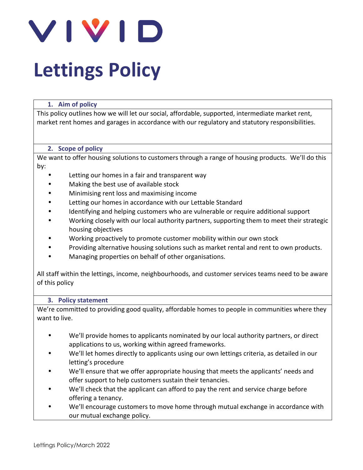

#### **1. Aim of policy**

This policy outlines how we will let our social, affordable, supported, intermediate market rent, market rent homes and garages in accordance with our regulatory and statutory responsibilities.

#### **2. Scope of policy**

We want to offer housing solutions to customers through a range of housing products. We'll do this by:

- Letting our homes in a fair and transparent way
- Making the best use of available stock
- Minimising rent loss and maximising income
- Letting our homes in accordance with our Lettable Standard
- Identifying and helping customers who are vulnerable or require additional support
- Working closely with our local authority partners, supporting them to meet their strategic housing objectives
- Working proactively to promote customer mobility within our own stock
- Providing alternative housing solutions such as market rental and rent to own products.
- Managing properties on behalf of other organisations.

All staff within the lettings, income, neighbourhoods, and customer services teams need to be aware of this policy

#### **3. Policy statement**

We're committed to providing good quality, affordable homes to people in communities where they want to live.

- We'll provide homes to applicants nominated by our local authority partners, or direct applications to us, working within agreed frameworks.
- We'll let homes directly to applicants using our own lettings criteria, as detailed in our letting's procedure
- We'll ensure that we offer appropriate housing that meets the applicants' needs and offer support to help customers sustain their tenancies.
- We'll check that the applicant can afford to pay the rent and service charge before offering a tenancy.
- We'll encourage customers to move home through mutual exchange in accordance with our mutual exchange policy.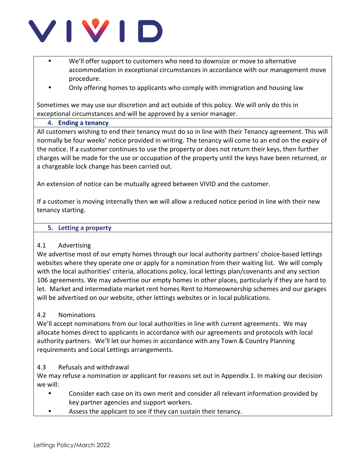

- We'll offer support to customers who need to downsize or move to alternative accommodation in exceptional circumstances in accordance with our management move procedure.
- Only offering homes to applicants who comply with immigration and housing law

Sometimes we may use our discretion and act outside of this policy. We will only do this in exceptional circumstances and will be approved by a senior manager.

#### **4. Ending a tenancy**

All customers wishing to end their tenancy must do so in line with their Tenancy agreement. This will normally be four weeks' notice provided in writing. The tenancy will come to an end on the expiry of the notice. If a customer continues to use the property or does not return their keys, then further charges will be made for the use or occupation of the property until the keys have been returned, or a chargeable lock change has been carried out.

An extension of notice can be mutually agreed between VIVID and the customer.

If a customer is moving internally then we will allow a reduced notice period in line with their new tenancy starting.

#### **5. Letting a property**

#### 4.1 Advertising

We advertise most of our empty homes through our local authority partners' choice-based lettings websites where they operate one or apply for a nomination from their waiting list. We will comply with the local authorities' criteria, allocations policy, local lettings plan/covenants and any section 106 agreements. We may advertise our empty homes in other places, particularly if they are hard to let. Market and intermediate market rent homes Rent to Homeownership schemes and our garages will be advertised on our website, other lettings websites or in local publications.

## 4.2 Nominations

We'll accept nominations from our local authorities in line with current agreements. We may allocate homes direct to applicants in accordance with our agreements and protocols with local authority partners. We'll let our homes in accordance with any Town & Country Planning requirements and Local Lettings arrangements.

#### 4.3 Refusals and withdrawal

We may refuse a nomination or applicant for reasons set out in Appendix 1. In making our decision we will:

- Consider each case on its own merit and consider all relevant information provided by key partner agencies and support workers.
- Assess the applicant to see if they can sustain their tenancy.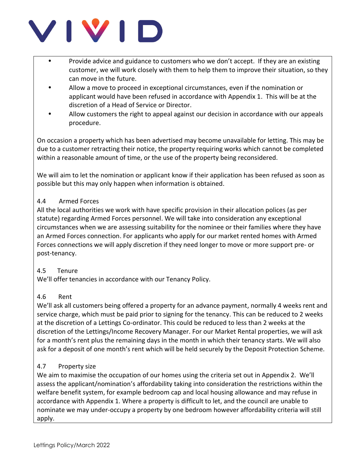

- Provide advice and guidance to customers who we don't accept. If they are an existing customer, we will work closely with them to help them to improve their situation, so they can move in the future.
- Allow a move to proceed in exceptional circumstances, even if the nomination or applicant would have been refused in accordance with Appendix 1. This will be at the discretion of a Head of Service or Director.
- Allow customers the right to appeal against our decision in accordance with our appeals procedure.

On occasion a property which has been advertised may become unavailable for letting. This may be due to a customer retracting their notice, the property requiring works which cannot be completed within a reasonable amount of time, or the use of the property being reconsidered.

We will aim to let the nomination or applicant know if their application has been refused as soon as possible but this may only happen when information is obtained.

# 4.4 Armed Forces

All the local authorities we work with have specific provision in their allocation polices (as per statute) regarding Armed Forces personnel. We will take into consideration any exceptional circumstances when we are assessing suitability for the nominee or their families where they have an Armed Forces connection. For applicants who apply for our market rented homes with Armed Forces connections we will apply discretion if they need longer to move or more support pre- or post-tenancy.

# 4.5 Tenure

We'll offer tenancies in accordance with our Tenancy Policy.

# 4.6 Rent

We'll ask all customers being offered a property for an advance payment, normally 4 weeks rent and service charge, which must be paid prior to signing for the tenancy. This can be reduced to 2 weeks at the discretion of a Lettings Co-ordinator. This could be reduced to less than 2 weeks at the discretion of the Lettings/Income Recovery Manager. For our Market Rental properties, we will ask for a month's rent plus the remaining days in the month in which their tenancy starts. We will also ask for a deposit of one month's rent which will be held securely by the Deposit Protection Scheme.

## 4.7 Property size

We aim to maximise the occupation of our homes using the criteria set out in Appendix 2. We'll assess the applicant/nomination's affordability taking into consideration the restrictions within the welfare benefit system, for example bedroom cap and local housing allowance and may refuse in accordance with Appendix 1. Where a property is difficult to let, and the council are unable to nominate we may under-occupy a property by one bedroom however affordability criteria will still apply.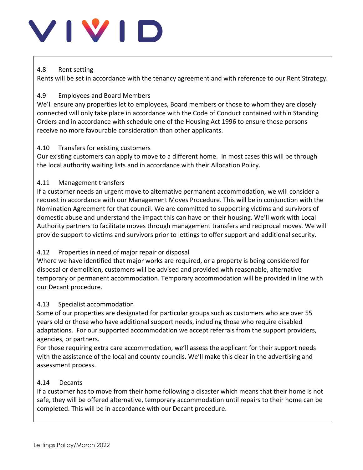### 4.8 Rent setting

Rents will be set in accordance with the tenancy agreement and with reference to our Rent Strategy.

## 4.9 Employees and Board Members

We'll ensure any properties let to employees, Board members or those to whom they are closely connected will only take place in accordance with the Code of Conduct contained within Standing Orders and in accordance with schedule one of the Housing Act 1996 to ensure those persons receive no more favourable consideration than other applicants.

## 4.10 Transfers for existing customers

Our existing customers can apply to move to a different home. In most cases this will be through the local authority waiting lists and in accordance with their Allocation Policy.

# 4.11 Management transfers

If a customer needs an urgent move to alternative permanent accommodation, we will consider a request in accordance with our Management Moves Procedure. This will be in conjunction with the Nomination Agreement for that council. We are committed to supporting victims and survivors of domestic abuse and understand the impact this can have on their housing. We'll work with Local Authority partners to facilitate moves through management transfers and reciprocal moves. We will provide support to victims and survivors prior to lettings to offer support and additional security.

## 4.12 Properties in need of major repair or disposal

Where we have identified that major works are required, or a property is being considered for disposal or demolition, customers will be advised and provided with reasonable, alternative temporary or permanent accommodation. Temporary accommodation will be provided in line with our Decant procedure.

## 4.13 Specialist accommodation

Some of our properties are designated for particular groups such as customers who are over 55 years old or those who have additional support needs, including those who require disabled adaptations. For our supported accommodation we accept referrals from the support providers, agencies, or partners.

For those requiring extra care accommodation, we'll assess the applicant for their support needs with the assistance of the local and county councils. We'll make this clear in the advertising and assessment process.

## 4.14 Decants

If a customer has to move from their home following a disaster which means that their home is not safe, they will be offered alternative, temporary accommodation until repairs to their home can be completed. This will be in accordance with our Decant procedure.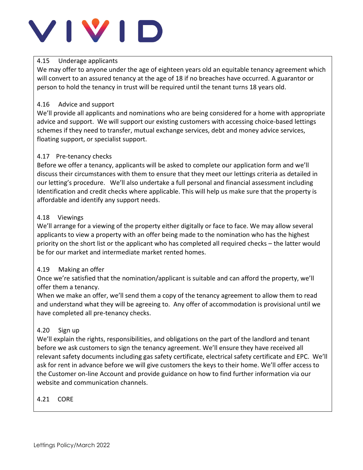## 4.15 Underage applicants

We may offer to anyone under the age of eighteen years old an equitable tenancy agreement which will convert to an assured tenancy at the age of 18 if no breaches have occurred. A guarantor or person to hold the tenancy in trust will be required until the tenant turns 18 years old.

## 4.16 Advice and support

We'll provide all applicants and nominations who are being considered for a home with appropriate advice and support. We will support our existing customers with accessing choice-based lettings schemes if they need to transfer, mutual exchange services, debt and money advice services, floating support, or specialist support.

# 4.17 Pre-tenancy checks

Before we offer a tenancy, applicants will be asked to complete our application form and we'll discuss their circumstances with them to ensure that they meet our lettings criteria as detailed in our letting's procedure. We'll also undertake a full personal and financial assessment including Identification and credit checks where applicable. This will help us make sure that the property is affordable and identify any support needs.

# 4.18 Viewings

We'll arrange for a viewing of the property either digitally or face to face. We may allow several applicants to view a property with an offer being made to the nomination who has the highest priority on the short list or the applicant who has completed all required checks – the latter would be for our market and intermediate market rented homes.

# 4.19 Making an offer

Once we're satisfied that the nomination/applicant is suitable and can afford the property, we'll offer them a tenancy.

When we make an offer, we'll send them a copy of the tenancy agreement to allow them to read and understand what they will be agreeing to. Any offer of accommodation is provisional until we have completed all pre-tenancy checks.

# 4.20 Sign up

We'll explain the rights, responsibilities, and obligations on the part of the landlord and tenant before we ask customers to sign the tenancy agreement. We'll ensure they have received all relevant safety documents including gas safety certificate, electrical safety certificate and EPC. We'll ask for rent in advance before we will give customers the keys to their home. We'll offer access to the Customer on-line Account and provide guidance on how to find further information via our website and communication channels.

# 4.21 CORE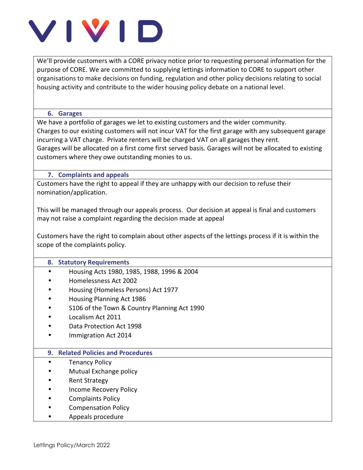We'll provide customers with a CORE privacy notice prior to requesting personal information for the purpose of CORE. We are committed to supplying lettings information to CORE to support other organisations to make decisions on funding, regulation and other policy decisions relating to social housing activity and contribute to the wider housing policy debate on a national level.

#### **6. Garages**

We have a portfolio of garages we let to existing customers and the wider community. Charges to our existing customers will not incur VAT for the first garage with any subsequent garage incurring a VAT charge. Private renters will be charged VAT on all garages they rent. Garages will be allocated on a first come first served basis. Garages will not be allocated to existing customers where they owe outstanding monies to us.

#### **7. Complaints and appeals**

Customers have the right to appeal if they are unhappy with our decision to refuse their nomination/application.

This will be managed through our appeals process. Our decision at appeal is final and customers may not raise a complaint regarding the decision made at appeal

Customers have the right to complain about other aspects of the lettings process if it is within the scope of the complaints policy.

#### **8. Statutory Requirements**

- Housing Acts 1980, 1985, 1988, 1996 & 2004
- Homelessness Act 2002
- Housing (Homeless Persons) Act 1977
- Housing Planning Act 1986
- S106 of the Town & Country Planning Act 1990
- Localism Act 2011
- Data Protection Act 1998
- Immigration Act 2014

#### **9. Related Policies and Procedures**

- **Tenancy Policy**
- Mutual Exchange policy
- Rent Strategy
- Income Recovery Policy
- Complaints Policy
- Compensation Policy
- Appeals procedure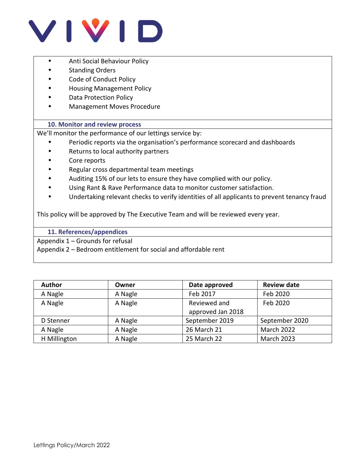

- Anti Social Behaviour Policy
- Standing Orders
- Code of Conduct Policy
- Housing Management Policy
- Data Protection Policy
- Management Moves Procedure

#### **10. Monitor and review process**

We'll monitor the performance of our lettings service by:

- Periodic reports via the organisation's performance scorecard and dashboards
- Returns to local authority partners
- Core reports
- Regular cross departmental team meetings
- Auditing 15% of our lets to ensure they have complied with our policy.
- Using Rant & Rave Performance data to monitor customer satisfaction.
- Undertaking relevant checks to verify identities of all applicants to prevent tenancy fraud

This policy will be approved by The Executive Team and will be reviewed every year.

**11. References/appendices**

Appendix 1 – Grounds for refusal

Appendix 2 – Bedroom entitlement for social and affordable rent

| <b>Author</b> | Owner   | Date approved     | <b>Review date</b> |  |  |  |
|---------------|---------|-------------------|--------------------|--|--|--|
| A Nagle       | A Nagle | Feb 2017          | Feb 2020           |  |  |  |
| A Nagle       | A Nagle | Reviewed and      | Feb 2020           |  |  |  |
|               |         | approved Jan 2018 |                    |  |  |  |
| D Stenner     | A Nagle | September 2019    | September 2020     |  |  |  |
| A Nagle       | A Nagle | 26 March 21       | March 2022         |  |  |  |
| H Millington  | A Nagle | 25 March 22       | <b>March 2023</b>  |  |  |  |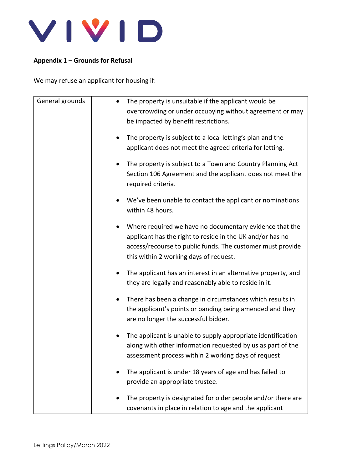

## **Appendix 1 – Grounds for Refusal**

We may refuse an applicant for housing if:

| General grounds | The property is unsuitable if the applicant would be<br>overcrowding or under occupying without agreement or may<br>be impacted by benefit restrictions.                                                                     |
|-----------------|------------------------------------------------------------------------------------------------------------------------------------------------------------------------------------------------------------------------------|
|                 | The property is subject to a local letting's plan and the<br>applicant does not meet the agreed criteria for letting.                                                                                                        |
|                 | The property is subject to a Town and Country Planning Act<br>٠<br>Section 106 Agreement and the applicant does not meet the<br>required criteria.                                                                           |
|                 | We've been unable to contact the applicant or nominations<br>within 48 hours.                                                                                                                                                |
|                 | Where required we have no documentary evidence that the<br>applicant has the right to reside in the UK and/or has no<br>access/recourse to public funds. The customer must provide<br>this within 2 working days of request. |
|                 | The applicant has an interest in an alternative property, and<br>they are legally and reasonably able to reside in it.                                                                                                       |
|                 | There has been a change in circumstances which results in<br>٠<br>the applicant's points or banding being amended and they<br>are no longer the successful bidder.                                                           |
|                 | The applicant is unable to supply appropriate identification<br>along with other information requested by us as part of the<br>assessment process within 2 working days of request                                           |
|                 | The applicant is under 18 years of age and has failed to<br>provide an appropriate trustee.                                                                                                                                  |
|                 | The property is designated for older people and/or there are<br>covenants in place in relation to age and the applicant                                                                                                      |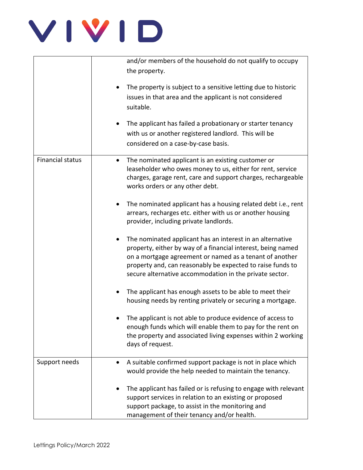

|                         | and/or members of the household do not qualify to occupy        |
|-------------------------|-----------------------------------------------------------------|
|                         | the property.                                                   |
|                         |                                                                 |
|                         | The property is subject to a sensitive letting due to historic  |
|                         | issues in that area and the applicant is not considered         |
|                         | suitable.                                                       |
|                         |                                                                 |
|                         | The applicant has failed a probationary or starter tenancy      |
|                         | with us or another registered landlord. This will be            |
|                         | considered on a case-by-case basis.                             |
|                         |                                                                 |
| <b>Financial status</b> | The nominated applicant is an existing customer or              |
|                         | leaseholder who owes money to us, either for rent, service      |
|                         | charges, garage rent, care and support charges, rechargeable    |
|                         | works orders or any other debt.                                 |
|                         |                                                                 |
|                         | The nominated applicant has a housing related debt i.e., rent   |
|                         | arrears, recharges etc. either with us or another housing       |
|                         | provider, including private landlords.                          |
|                         | The nominated applicant has an interest in an alternative       |
|                         | property, either by way of a financial interest, being named    |
|                         | on a mortgage agreement or named as a tenant of another         |
|                         | property and, can reasonably be expected to raise funds to      |
|                         | secure alternative accommodation in the private sector.         |
|                         |                                                                 |
|                         | The applicant has enough assets to be able to meet their        |
|                         | housing needs by renting privately or securing a mortgage.      |
|                         |                                                                 |
|                         | The applicant is not able to produce evidence of access to      |
|                         | enough funds which will enable them to pay for the rent on      |
|                         | the property and associated living expenses within 2 working    |
|                         | days of request.                                                |
|                         |                                                                 |
| Support needs           | A suitable confirmed support package is not in place which      |
|                         | would provide the help needed to maintain the tenancy.          |
|                         | The applicant has failed or is refusing to engage with relevant |
|                         | support services in relation to an existing or proposed         |
|                         | support package, to assist in the monitoring and                |
|                         | management of their tenancy and/or health.                      |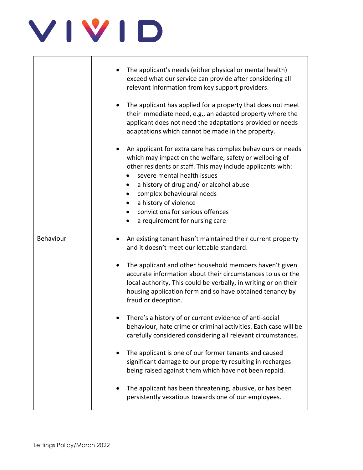|           | The applicant's needs (either physical or mental health)<br>exceed what our service can provide after considering all<br>relevant information from key support providers.                                                                                                                                                                                                                   |
|-----------|---------------------------------------------------------------------------------------------------------------------------------------------------------------------------------------------------------------------------------------------------------------------------------------------------------------------------------------------------------------------------------------------|
|           | The applicant has applied for a property that does not meet<br>their immediate need, e.g., an adapted property where the<br>applicant does not need the adaptations provided or needs<br>adaptations which cannot be made in the property.                                                                                                                                                  |
|           | An applicant for extra care has complex behaviours or needs<br>which may impact on the welfare, safety or wellbeing of<br>other residents or staff. This may include applicants with:<br>severe mental health issues<br>a history of drug and/ or alcohol abuse<br>complex behavioural needs<br>a history of violence<br>convictions for serious offences<br>a requirement for nursing care |
| Behaviour | An existing tenant hasn't maintained their current property<br>$\bullet$<br>and it doesn't meet our lettable standard.                                                                                                                                                                                                                                                                      |
|           | The applicant and other household members haven't given<br>accurate information about their circumstances to us or the<br>local authority. This could be verbally, in writing or on their<br>housing application form and so have obtained tenancy by<br>fraud or deception.                                                                                                                |
|           | There's a history of or current evidence of anti-social<br>behaviour, hate crime or criminal activities. Each case will be<br>carefully considered considering all relevant circumstances.                                                                                                                                                                                                  |
|           | The applicant is one of our former tenants and caused<br>significant damage to our property resulting in recharges<br>being raised against them which have not been repaid.                                                                                                                                                                                                                 |
|           | The applicant has been threatening, abusive, or has been<br>persistently vexatious towards one of our employees.                                                                                                                                                                                                                                                                            |

 $\overline{\phantom{a}}$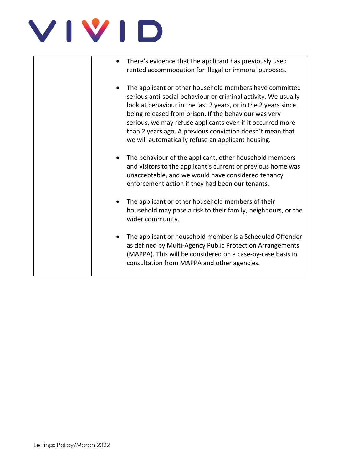| There's evidence that the applicant has previously used<br>rented accommodation for illegal or immoral purposes.                                                                                                                                                                                                                                                                                                                      |
|---------------------------------------------------------------------------------------------------------------------------------------------------------------------------------------------------------------------------------------------------------------------------------------------------------------------------------------------------------------------------------------------------------------------------------------|
| The applicant or other household members have committed<br>serious anti-social behaviour or criminal activity. We usually<br>look at behaviour in the last 2 years, or in the 2 years since<br>being released from prison. If the behaviour was very<br>serious, we may refuse applicants even if it occurred more<br>than 2 years ago. A previous conviction doesn't mean that<br>we will automatically refuse an applicant housing. |
| The behaviour of the applicant, other household members<br>and visitors to the applicant's current or previous home was<br>unacceptable, and we would have considered tenancy<br>enforcement action if they had been our tenants.                                                                                                                                                                                                     |
| The applicant or other household members of their<br>household may pose a risk to their family, neighbours, or the<br>wider community.                                                                                                                                                                                                                                                                                                |
| The applicant or household member is a Scheduled Offender<br>as defined by Multi-Agency Public Protection Arrangements<br>(MAPPA). This will be considered on a case-by-case basis in<br>consultation from MAPPA and other agencies.                                                                                                                                                                                                  |
|                                                                                                                                                                                                                                                                                                                                                                                                                                       |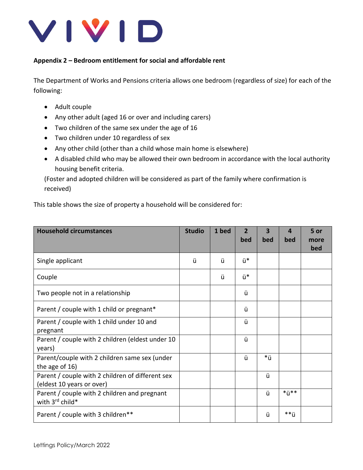

### **Appendix 2 – Bedroom entitlement for social and affordable rent**

The Department of Works and Pensions criteria allows one bedroom (regardless of size) for each of the following:

- Adult couple
- Any other adult (aged 16 or over and including carers)
- Two children of the same sex under the age of 16
- Two children under 10 regardless of sex
- Any other child (other than a child whose main home is elsewhere)
- A disabled child who may be allowed their own bedroom in accordance with the local authority housing benefit criteria.

(Foster and adopted children will be considered as part of the family where confirmation is received)

This table shows the size of property a household will be considered for:

| <b>Household circumstances</b>                                                | <b>Studio</b> | 1 bed | $\mathbf{2}$<br>bed | З<br>bed | 4<br>bed | 5 or<br>more<br>bed |
|-------------------------------------------------------------------------------|---------------|-------|---------------------|----------|----------|---------------------|
| Single applicant                                                              | ü             | ü     | ü*                  |          |          |                     |
| Couple                                                                        |               | ü     | ü*                  |          |          |                     |
| Two people not in a relationship                                              |               |       | ü                   |          |          |                     |
| Parent / couple with 1 child or pregnant*                                     |               |       | ü                   |          |          |                     |
| Parent / couple with 1 child under 10 and<br>pregnant                         |               |       | ü                   |          |          |                     |
| Parent / couple with 2 children (eldest under 10<br>years)                    |               |       | ü                   |          |          |                     |
| Parent/couple with 2 children same sex (under<br>the age of 16)               |               |       | ü                   | *ü       |          |                     |
| Parent / couple with 2 children of different sex<br>(eldest 10 years or over) |               |       |                     | ü        |          |                     |
| Parent / couple with 2 children and pregnant<br>with 3rd child*               |               |       |                     | ü        | *ü**     |                     |
| Parent / couple with 3 children**                                             |               |       |                     | ü        | **ü      |                     |